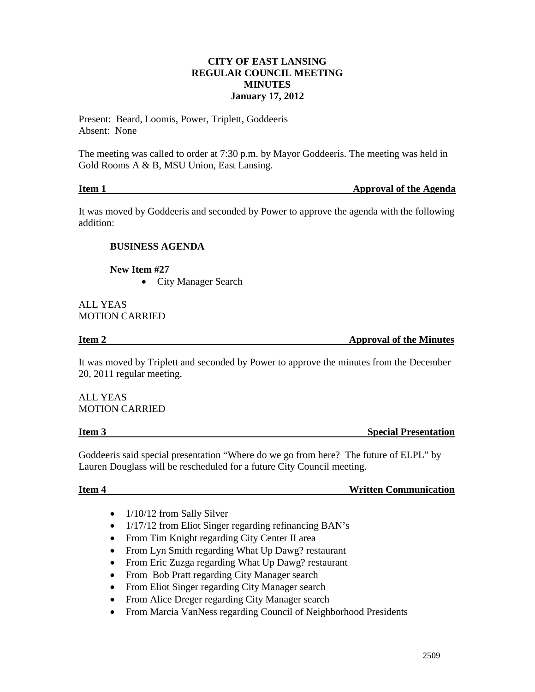#### **CITY OF EAST LANSING REGULAR COUNCIL MEETING MINUTES January 17, 2012**

Present: Beard, Loomis, Power, Triplett, Goddeeris Absent: None

The meeting was called to order at 7:30 p.m. by Mayor Goddeeris. The meeting was held in Gold Rooms A & B, MSU Union, East Lansing.

| Item 1 | <b>Approval of the Agenda</b> |
|--------|-------------------------------|
|        |                               |

It was moved by Goddeeris and seconded by Power to approve the agenda with the following addition:

# **BUSINESS AGENDA**

**New Item #27**

• City Manager Search

#### ALL YEAS MOTION CARRIED

**Item 2 Approval of the Minutes** 

It was moved by Triplett and seconded by Power to approve the minutes from the December 20, 2011 regular meeting.

ALL YEAS MOTION CARRIED

**Item 3** Special Presentation

Goddeeris said special presentation "Where do we go from here? The future of ELPL" by Lauren Douglass will be rescheduled for a future City Council meeting.

**Item 4** Written Communication

- 1/10/12 from Sally Silver
- 1/17/12 from Eliot Singer regarding refinancing BAN's
- From Tim Knight regarding City Center II area
- From Lyn Smith regarding What Up Dawg? restaurant
- From Eric Zuzga regarding What Up Dawg? restaurant
- From Bob Pratt regarding City Manager search
- From Eliot Singer regarding City Manager search
- From Alice Dreger regarding City Manager search
- From Marcia VanNess regarding Council of Neighborhood Presidents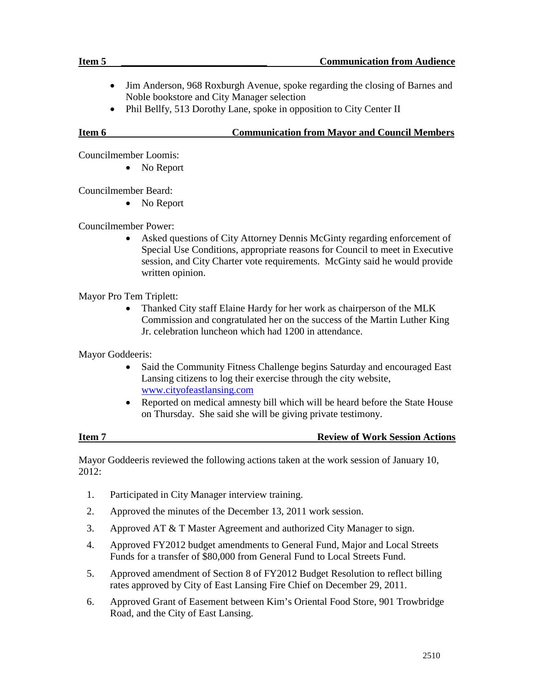- Jim Anderson, 968 Roxburgh Avenue, spoke regarding the closing of Barnes and Noble bookstore and City Manager selection
- Phil Bellfy, 513 Dorothy Lane, spoke in opposition to City Center II

### **Item 6 Communication from Mayor and Council Members**

Councilmember Loomis:

• No Report

Councilmember Beard:

• No Report

Councilmember Power:

• Asked questions of City Attorney Dennis McGinty regarding enforcement of Special Use Conditions, appropriate reasons for Council to meet in Executive session, and City Charter vote requirements. McGinty said he would provide written opinion.

Mayor Pro Tem Triplett:

• Thanked City staff Elaine Hardy for her work as chairperson of the MLK Commission and congratulated her on the success of the Martin Luther King Jr. celebration luncheon which had 1200 in attendance.

Mayor Goddeeris:

- Said the Community Fitness Challenge begins Saturday and encouraged East Lansing citizens to log their exercise through the city website, [www.cityofeastlansing.com](http://www.cityofeastlansing.com/)
- Reported on medical amnesty bill which will be heard before the State House on Thursday. She said she will be giving private testimony.

#### **Item 7 Review of Work Session Actions**

Mayor Goddeeris reviewed the following actions taken at the work session of January 10, 2012:

- 1. Participated in City Manager interview training.
- 2. Approved the minutes of the December 13, 2011 work session.
- 3. Approved AT & T Master Agreement and authorized City Manager to sign.
- 4. Approved FY2012 budget amendments to General Fund, Major and Local Streets Funds for a transfer of \$80,000 from General Fund to Local Streets Fund.
- 5. Approved amendment of Section 8 of FY2012 Budget Resolution to reflect billing rates approved by City of East Lansing Fire Chief on December 29, 2011.
- 6. Approved Grant of Easement between Kim's Oriental Food Store, 901 Trowbridge Road, and the City of East Lansing.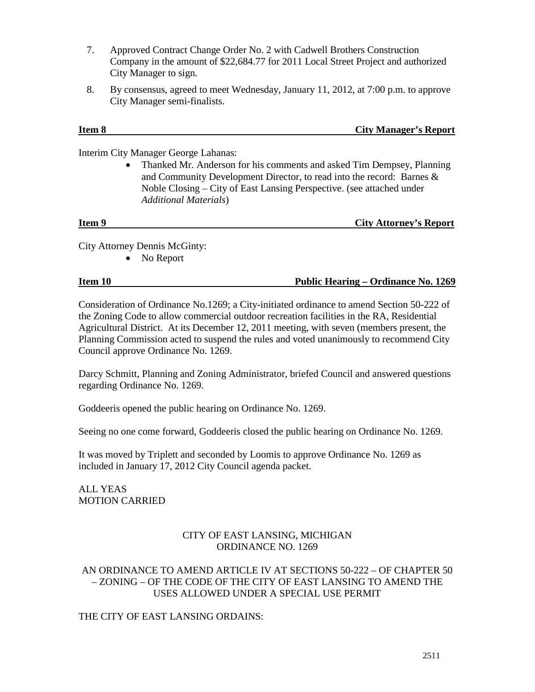- 7. Approved Contract Change Order No. 2 with Cadwell Brothers Construction Company in the amount of \$22,684.77 for 2011 Local Street Project and authorized City Manager to sign.
- 8. By consensus, agreed to meet Wednesday, January 11, 2012, at 7:00 p.m. to approve City Manager semi-finalists.

# **Item 8 City Manager's Report**

Interim City Manager George Lahanas:

• Thanked Mr. Anderson for his comments and asked Tim Dempsey, Planning and Community Development Director, to read into the record: Barnes & Noble Closing – City of East Lansing Perspective. (see attached under *Additional Materials*)

# **Item 9** City Attorney's Report

City Attorney Dennis McGinty:

• No Report

### **Item 10 Public Hearing – Ordinance No. 1269**

Consideration of Ordinance No.1269; a City-initiated ordinance to amend Section 50-222 of the Zoning Code to allow commercial outdoor recreation facilities in the RA, Residential Agricultural District. At its December 12, 2011 meeting, with seven (members present, the Planning Commission acted to suspend the rules and voted unanimously to recommend City Council approve Ordinance No. 1269.

Darcy Schmitt, Planning and Zoning Administrator, briefed Council and answered questions regarding Ordinance No. 1269.

Goddeeris opened the public hearing on Ordinance No. 1269.

Seeing no one come forward, Goddeeris closed the public hearing on Ordinance No. 1269.

It was moved by Triplett and seconded by Loomis to approve Ordinance No. 1269 as included in January 17, 2012 City Council agenda packet.

ALL YEAS MOTION CARRIED

# CITY OF EAST LANSING, MICHIGAN ORDINANCE NO. 1269

### AN ORDINANCE TO AMEND ARTICLE IV AT SECTIONS 50-222 – OF CHAPTER 50 – ZONING – OF THE CODE OF THE CITY OF EAST LANSING TO AMEND THE USES ALLOWED UNDER A SPECIAL USE PERMIT

# THE CITY OF EAST LANSING ORDAINS: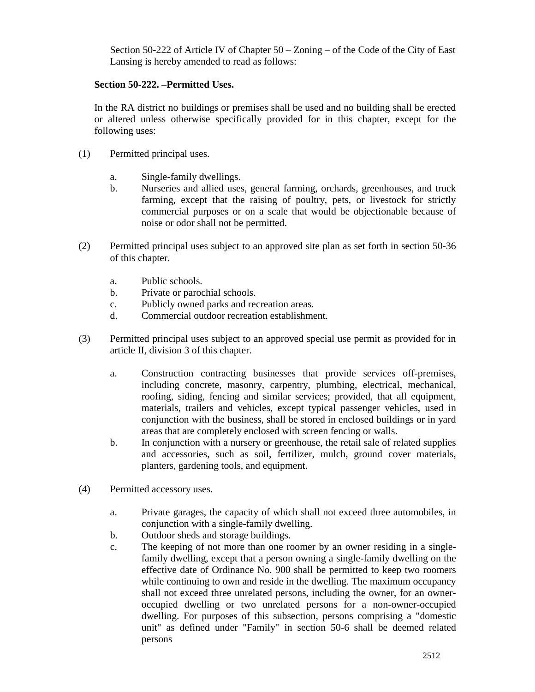Section 50-222 of Article IV of Chapter 50 – Zoning – of the Code of the City of East Lansing is hereby amended to read as follows:

### **Section 50-222. –Permitted Uses.**

In the RA district no buildings or premises shall be used and no building shall be erected or altered unless otherwise specifically provided for in this chapter, except for the following uses:

- (1) Permitted principal uses.
	- a. Single-family dwellings.
	- b. Nurseries and allied uses, general farming, orchards, greenhouses, and truck farming, except that the raising of poultry, pets, or livestock for strictly commercial purposes or on a scale that would be objectionable because of noise or odor shall not be permitted.
- (2) Permitted principal uses subject to an approved site plan as set forth in section 50-36 of this chapter.
	- a. Public schools.
	- b. Private or parochial schools.
	- c. Publicly owned parks and recreation areas.
	- d. Commercial outdoor recreation establishment.
- (3) Permitted principal uses subject to an approved special use permit as provided for in article II, division 3 of this chapter.
	- a. Construction contracting businesses that provide services off-premises, including concrete, masonry, carpentry, plumbing, electrical, mechanical, roofing, siding, fencing and similar services; provided, that all equipment, materials, trailers and vehicles, except typical passenger vehicles, used in conjunction with the business, shall be stored in enclosed buildings or in yard areas that are completely enclosed with screen fencing or walls.
	- b. In conjunction with a nursery or greenhouse, the retail sale of related supplies and accessories, such as soil, fertilizer, mulch, ground cover materials, planters, gardening tools, and equipment.
- (4) Permitted accessory uses.
	- a. Private garages, the capacity of which shall not exceed three automobiles, in conjunction with a single-family dwelling.
	- b. Outdoor sheds and storage buildings.
	- c. The keeping of not more than one roomer by an owner residing in a singlefamily dwelling, except that a person owning a single-family dwelling on the effective date of Ordinance No. 900 shall be permitted to keep two roomers while continuing to own and reside in the dwelling. The maximum occupancy shall not exceed three unrelated persons, including the owner, for an owneroccupied dwelling or two unrelated persons for a non-owner-occupied dwelling. For purposes of this subsection, persons comprising a "domestic unit" as defined under "Family" in section 50-6 shall be deemed related persons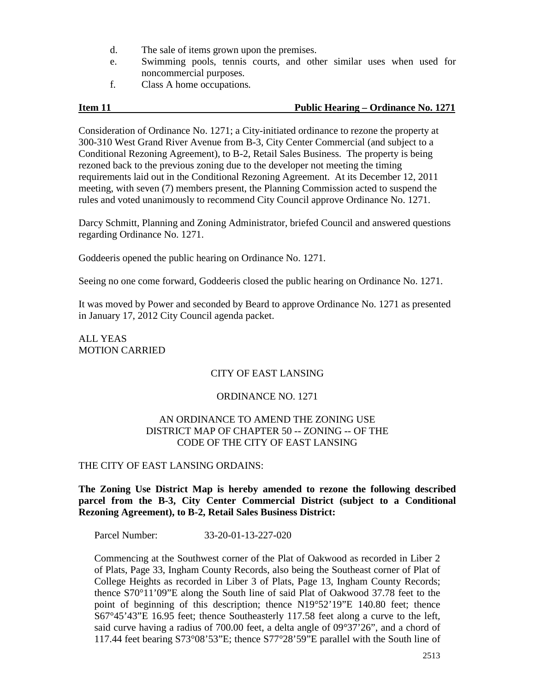- d. The sale of items grown upon the premises.
- e. Swimming pools, tennis courts, and other similar uses when used for noncommercial purposes.
- f. Class A home occupations.

# **Item 11 Public Hearing – Ordinance No. 1271**

Consideration of Ordinance No. 1271; a City-initiated ordinance to rezone the property at 300-310 West Grand River Avenue from B-3, City Center Commercial (and subject to a Conditional Rezoning Agreement), to B-2, Retail Sales Business. The property is being rezoned back to the previous zoning due to the developer not meeting the timing requirements laid out in the Conditional Rezoning Agreement. At its December 12, 2011 meeting, with seven (7) members present, the Planning Commission acted to suspend the rules and voted unanimously to recommend City Council approve Ordinance No. 1271.

Darcy Schmitt, Planning and Zoning Administrator, briefed Council and answered questions regarding Ordinance No. 1271.

Goddeeris opened the public hearing on Ordinance No. 1271.

Seeing no one come forward, Goddeeris closed the public hearing on Ordinance No. 1271.

It was moved by Power and seconded by Beard to approve Ordinance No. 1271 as presented in January 17, 2012 City Council agenda packet.

ALL YEAS MOTION CARRIED

### CITY OF EAST LANSING

### ORDINANCE NO. 1271

### AN ORDINANCE TO AMEND THE ZONING USE DISTRICT MAP OF CHAPTER 50 -- ZONING -- OF THE CODE OF THE CITY OF EAST LANSING

### THE CITY OF EAST LANSING ORDAINS:

**The Zoning Use District Map is hereby amended to rezone the following described parcel from the B-3, City Center Commercial District (subject to a Conditional Rezoning Agreement), to B-2, Retail Sales Business District:**

Parcel Number: 33-20-01-13-227-020

Commencing at the Southwest corner of the Plat of Oakwood as recorded in Liber 2 of Plats, Page 33, Ingham County Records, also being the Southeast corner of Plat of College Heights as recorded in Liber 3 of Plats, Page 13, Ingham County Records; thence S70°11'09"E along the South line of said Plat of Oakwood 37.78 feet to the point of beginning of this description; thence N19°52'19"E 140.80 feet; thence S67°45'43"E 16.95 feet; thence Southeasterly 117.58 feet along a curve to the left, said curve having a radius of 700.00 feet, a delta angle of 09°37'26", and a chord of 117.44 feet bearing S73°08'53"E; thence S77°28'59"E parallel with the South line of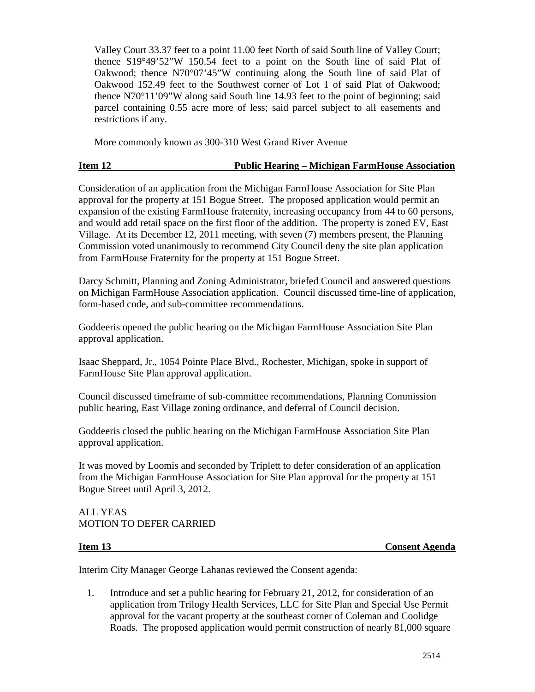Valley Court 33.37 feet to a point 11.00 feet North of said South line of Valley Court; thence S19°49'52"W 150.54 feet to a point on the South line of said Plat of Oakwood; thence N70°07'45"W continuing along the South line of said Plat of Oakwood 152.49 feet to the Southwest corner of Lot 1 of said Plat of Oakwood; thence N70°11'09"W along said South line 14.93 feet to the point of beginning; said parcel containing 0.55 acre more of less; said parcel subject to all easements and restrictions if any.

More commonly known as 300-310 West Grand River Avenue

### **Item 12 Public Hearing – Michigan FarmHouse Association**

Consideration of an application from the Michigan FarmHouse Association for Site Plan approval for the property at 151 Bogue Street. The proposed application would permit an expansion of the existing FarmHouse fraternity, increasing occupancy from 44 to 60 persons, and would add retail space on the first floor of the addition. The property is zoned EV, East Village. At its December 12, 2011 meeting, with seven (7) members present, the Planning Commission voted unanimously to recommend City Council deny the site plan application from FarmHouse Fraternity for the property at 151 Bogue Street.

Darcy Schmitt, Planning and Zoning Administrator, briefed Council and answered questions on Michigan FarmHouse Association application. Council discussed time-line of application, form-based code, and sub-committee recommendations.

Goddeeris opened the public hearing on the Michigan FarmHouse Association Site Plan approval application.

Isaac Sheppard, Jr., 1054 Pointe Place Blvd., Rochester, Michigan, spoke in support of FarmHouse Site Plan approval application.

Council discussed timeframe of sub-committee recommendations, Planning Commission public hearing, East Village zoning ordinance, and deferral of Council decision.

Goddeeris closed the public hearing on the Michigan FarmHouse Association Site Plan approval application.

It was moved by Loomis and seconded by Triplett to defer consideration of an application from the Michigan FarmHouse Association for Site Plan approval for the property at 151 Bogue Street until April 3, 2012.

### ALL YEAS MOTION TO DEFER CARRIED

**Item 13 Consent Agenda**

Interim City Manager George Lahanas reviewed the Consent agenda:

1. Introduce and set a public hearing for February 21, 2012, for consideration of an application from Trilogy Health Services, LLC for Site Plan and Special Use Permit approval for the vacant property at the southeast corner of Coleman and Coolidge Roads. The proposed application would permit construction of nearly 81,000 square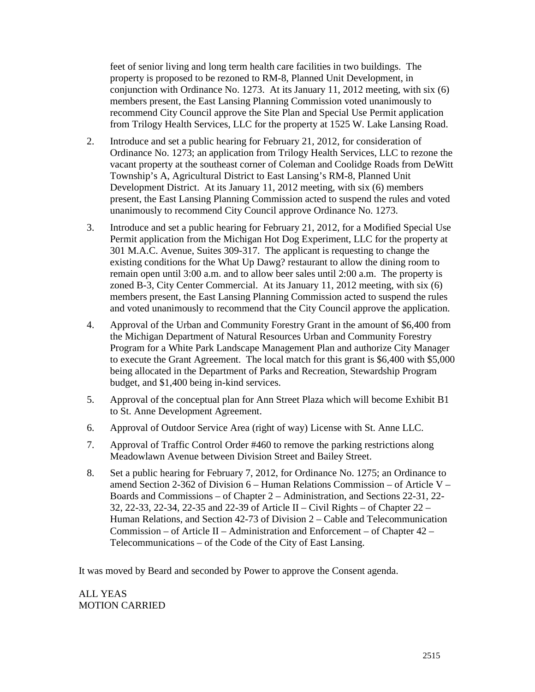feet of senior living and long term health care facilities in two buildings. The property is proposed to be rezoned to RM-8, Planned Unit Development, in conjunction with Ordinance No. 1273. At its January 11, 2012 meeting, with six (6) members present, the East Lansing Planning Commission voted unanimously to recommend City Council approve the Site Plan and Special Use Permit application from Trilogy Health Services, LLC for the property at 1525 W. Lake Lansing Road.

- 2. Introduce and set a public hearing for February 21, 2012, for consideration of Ordinance No. 1273; an application from Trilogy Health Services, LLC to rezone the vacant property at the southeast corner of Coleman and Coolidge Roads from DeWitt Township's A, Agricultural District to East Lansing's RM-8, Planned Unit Development District. At its January 11, 2012 meeting, with six (6) members present, the East Lansing Planning Commission acted to suspend the rules and voted unanimously to recommend City Council approve Ordinance No. 1273.
- 3. Introduce and set a public hearing for February 21, 2012, for a Modified Special Use Permit application from the Michigan Hot Dog Experiment, LLC for the property at 301 M.A.C. Avenue, Suites 309-317. The applicant is requesting to change the existing conditions for the What Up Dawg? restaurant to allow the dining room to remain open until 3:00 a.m. and to allow beer sales until 2:00 a.m. The property is zoned B-3, City Center Commercial. At its January 11, 2012 meeting, with six (6) members present, the East Lansing Planning Commission acted to suspend the rules and voted unanimously to recommend that the City Council approve the application.
- 4. Approval of the Urban and Community Forestry Grant in the amount of \$6,400 from the Michigan Department of Natural Resources Urban and Community Forestry Program for a White Park Landscape Management Plan and authorize City Manager to execute the Grant Agreement. The local match for this grant is \$6,400 with \$5,000 being allocated in the Department of Parks and Recreation, Stewardship Program budget, and \$1,400 being in-kind services.
- 5. Approval of the conceptual plan for Ann Street Plaza which will become Exhibit B1 to St. Anne Development Agreement.
- 6. Approval of Outdoor Service Area (right of way) License with St. Anne LLC.
- 7. Approval of Traffic Control Order #460 to remove the parking restrictions along Meadowlawn Avenue between Division Street and Bailey Street.
- 8. Set a public hearing for February 7, 2012, for Ordinance No. 1275; an Ordinance to amend Section 2-362 of Division 6 – Human Relations Commission – of Article V – Boards and Commissions – of Chapter 2 – Administration, and Sections 22-31, 22- 32, 22-33, 22-34, 22-35 and 22-39 of Article II – Civil Rights – of Chapter 22 – Human Relations, and Section 42-73 of Division 2 – Cable and Telecommunication Commission – of Article II – Administration and Enforcement – of Chapter 42 – Telecommunications – of the Code of the City of East Lansing.

It was moved by Beard and seconded by Power to approve the Consent agenda.

ALL YEAS MOTION CARRIED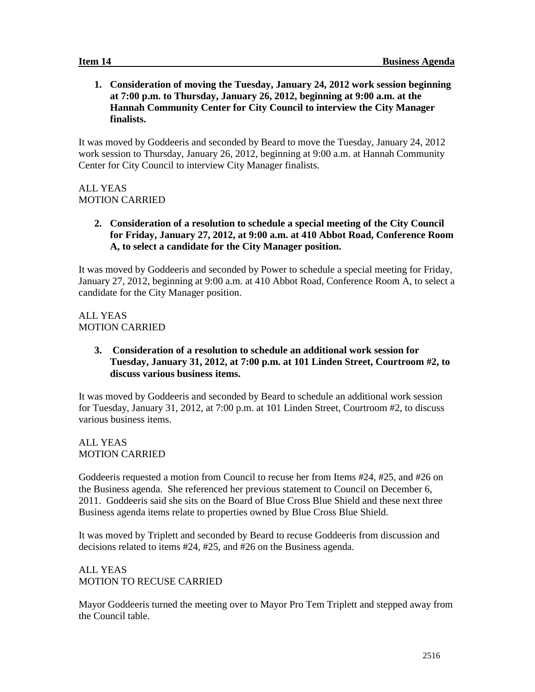**1. Consideration of moving the Tuesday, January 24, 2012 work session beginning at 7:00 p.m. to Thursday, January 26, 2012, beginning at 9:00 a.m. at the Hannah Community Center for City Council to interview the City Manager finalists.**

It was moved by Goddeeris and seconded by Beard to move the Tuesday, January 24, 2012 work session to Thursday, January 26, 2012, beginning at 9:00 a.m. at Hannah Community Center for City Council to interview City Manager finalists.

# ALL YEAS MOTION CARRIED

**2. Consideration of a resolution to schedule a special meeting of the City Council for Friday, January 27, 2012, at 9:00 a.m. at 410 Abbot Road, Conference Room A, to select a candidate for the City Manager position.**

It was moved by Goddeeris and seconded by Power to schedule a special meeting for Friday, January 27, 2012, beginning at 9:00 a.m. at 410 Abbot Road, Conference Room A, to select a candidate for the City Manager position.

ALL YEAS MOTION CARRIED

> **3. Consideration of a resolution to schedule an additional work session for Tuesday, January 31, 2012, at 7:00 p.m. at 101 Linden Street, Courtroom #2, to discuss various business items.**

It was moved by Goddeeris and seconded by Beard to schedule an additional work session for Tuesday, January 31, 2012, at 7:00 p.m. at 101 Linden Street, Courtroom #2, to discuss various business items.

ALL YEAS MOTION CARRIED

Goddeeris requested a motion from Council to recuse her from Items #24, #25, and #26 on the Business agenda. She referenced her previous statement to Council on December 6, 2011. Goddeeris said she sits on the Board of Blue Cross Blue Shield and these next three Business agenda items relate to properties owned by Blue Cross Blue Shield.

It was moved by Triplett and seconded by Beard to recuse Goddeeris from discussion and decisions related to items #24, #25, and #26 on the Business agenda.

# ALL YEAS MOTION TO RECUSE CARRIED

Mayor Goddeeris turned the meeting over to Mayor Pro Tem Triplett and stepped away from the Council table.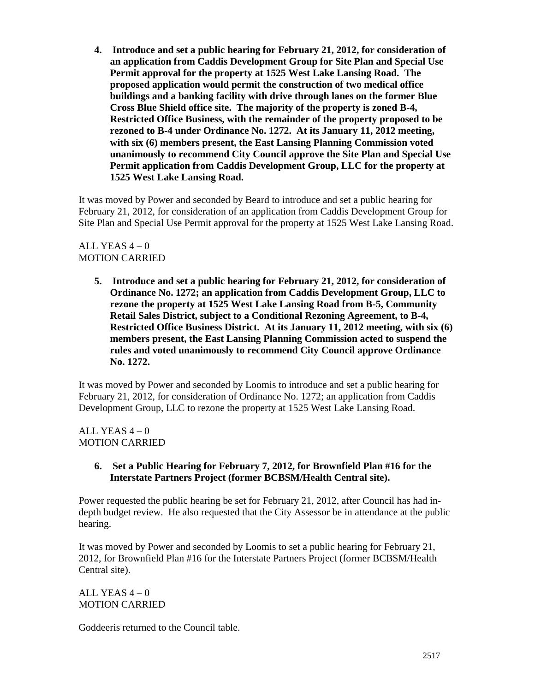**4. Introduce and set a public hearing for February 21, 2012, for consideration of an application from Caddis Development Group for Site Plan and Special Use Permit approval for the property at 1525 West Lake Lansing Road. The proposed application would permit the construction of two medical office buildings and a banking facility with drive through lanes on the former Blue Cross Blue Shield office site. The majority of the property is zoned B-4, Restricted Office Business, with the remainder of the property proposed to be rezoned to B-4 under Ordinance No. 1272. At its January 11, 2012 meeting, with six (6) members present, the East Lansing Planning Commission voted unanimously to recommend City Council approve the Site Plan and Special Use Permit application from Caddis Development Group, LLC for the property at 1525 West Lake Lansing Road.**

It was moved by Power and seconded by Beard to introduce and set a public hearing for February 21, 2012, for consideration of an application from Caddis Development Group for Site Plan and Special Use Permit approval for the property at 1525 West Lake Lansing Road.

# ALL YEAS  $4-0$ MOTION CARRIED

**5. Introduce and set a public hearing for February 21, 2012, for consideration of Ordinance No. 1272; an application from Caddis Development Group, LLC to rezone the property at 1525 West Lake Lansing Road from B-5, Community Retail Sales District, subject to a Conditional Rezoning Agreement, to B-4, Restricted Office Business District. At its January 11, 2012 meeting, with six (6) members present, the East Lansing Planning Commission acted to suspend the rules and voted unanimously to recommend City Council approve Ordinance No. 1272.**

It was moved by Power and seconded by Loomis to introduce and set a public hearing for February 21, 2012, for consideration of Ordinance No. 1272; an application from Caddis Development Group, LLC to rezone the property at 1525 West Lake Lansing Road.

ALL YEAS  $4-0$ MOTION CARRIED

# **6. Set a Public Hearing for February 7, 2012, for Brownfield Plan #16 for the Interstate Partners Project (former BCBSM/Health Central site).**

Power requested the public hearing be set for February 21, 2012, after Council has had indepth budget review. He also requested that the City Assessor be in attendance at the public hearing.

It was moved by Power and seconded by Loomis to set a public hearing for February 21, 2012, for Brownfield Plan #16 for the Interstate Partners Project (former BCBSM/Health Central site).

ALL YEAS  $4-0$ MOTION CARRIED

Goddeeris returned to the Council table.